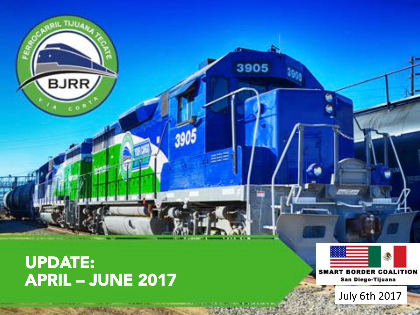

### UPDATE: APRIL – JUNE 2017



**SMART BORDER COALITION** San Diego-Tijuana

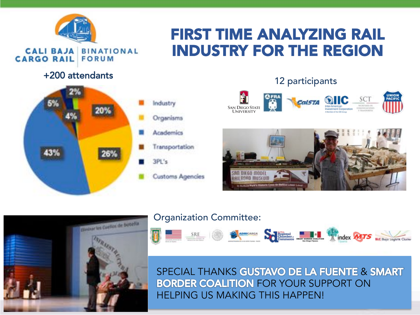

**CALIBAJA** 

**CARGO RAIL FORUM** 

### FIRST TIME ANALYZING RAIL INDUSTRY FOR THE REGION



(liminar las Cuellos de Sotélia

**BINATIONAL** 

#### 12 participants +200 attendants **UNION**<br>PACIFIC  $_{GalSTA}$ **SCT** SAN DIEGO STATE sacartanis re DHUHCACKN



#### Organization Committee:



SPECIAL THANKS GUSTAVO DE LA FUENTE & SMART BORDER COALITION FOR YOUR SUPPORT ON HELPING US MAKING THIS HAPPEN!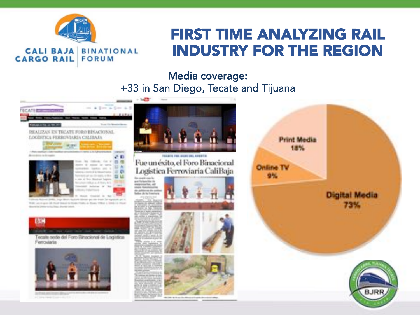

**CARGO RAIL FORUM** 

**CALI BAJA BINATIONAL** 

### FIRST TIME ANALYZING RAIL INDUSTRY FOR THE REGION

#### Media coverage: +33 in San Diego, Tecate and Tijuana



allowed (\$140). Single dilective depointed dilector gas roles intend for high-THE set is got like built line of to finder Police at Engle 1 (ER) 1 (FIE) 1 (Fig. in Ormer is the Royal Anniby brints



Tecate sede del Foro Binacional de Logistica Ferroviatis





#### FEARTH FOR SEAN MO, KINGETS Fue un éxito, el Foro Binacional Logística Ferroviaria CaliBaja

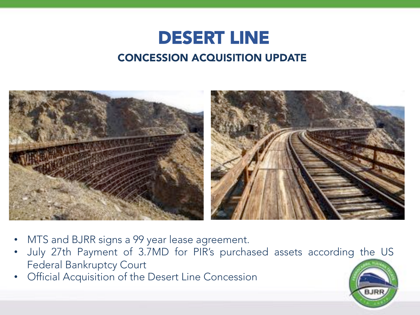

#### CONCESSION ACQUISITION UPDATE



- MTS and BJRR signs a 99 year lease agreement.
- July 27th Payment of 3.7MD for PIR's purchased assets according the US Federal Bankruptcy Court
- Official Acquisition of the Desert Line Concession

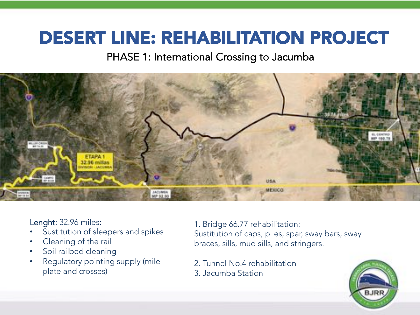## DESERT LINE: REHABILITATION PROJECT

#### PHASE 1: International Crossing to Jacumba



Lenght: 32.96 miles:

- Sustitution of sleepers and spikes
- Cleaning of the rail
- Soil railbed cleaning
- Regulatory pointing supply (mile plate and crosses)

1. Bridge 66.77 rehabilitation: Sustitution of caps, piles, spar, sway bars, sway braces, sills, mud sills, and stringers.

2. Tunnel No. 4 rehabilitation 3. Jacumba Station

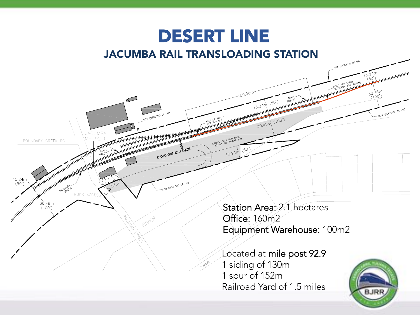## DESERT LINE

#### JACUMBA RAIL TRANSLOADING STATION

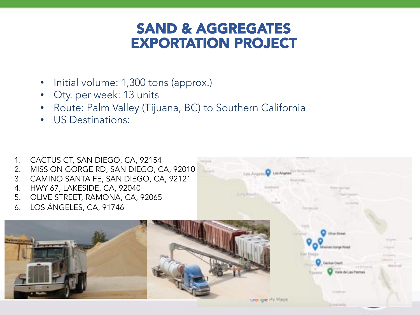### SAND & AGGREGATES EXPORTATION PROJECT

- Initial volume: 1,300 tons (approx.)
- Qty. per week: 13 units
- Route: Palm Valley (Tijuana, BC) to Southern California
- US Destinations:
- 1. CACTUS CT, SAN DIEGO, CA, 92154
- 2. MISSION GORGE RD, SAN DIEGO, CA, 92010
- 3. CAMINO SANTA FE, SAN DIEGO, CA, 92121
- 4. HWY 67, LAKESIDE, CA, 92040
- 5. OLIVE STREET, RAMONA, CA, 92065

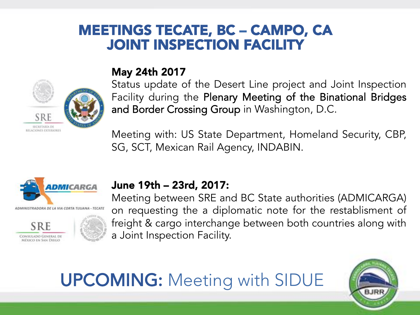### MEETINGS TECATE, BC – CAMPO, CA JOINT INSPECTION FACILITY



#### May 24th 2017

Status update of the Desert Line project and Joint Inspection Facility during the Plenary Meeting of the Binational Bridges and Border Crossing Group in Washington, D.C.

Meeting with: US State Department, Homeland Security, CBP, SG, SCT, Mexican Rail Agency, INDABIN.



DMINISTRADORA DE LA VIA CORTA TIJUANA





#### June 19th – 23rd, 2017:

Meeting between SRE and BC State authorities (ADMICARGA) on requesting the a diplomatic note for the restablisment of freight & cargo interchange between both countries along with a Joint Inspection Facility.

# UPCOMING: Meeting with SIDUE

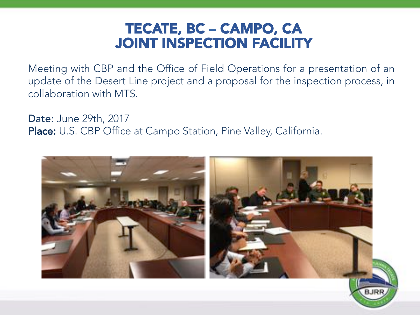### TECATE, BC – CAMPO, CA JOINT INSPECTION FACILITY

Meeting with CBP and the Office of Field Operations for a presentation of an update of the Desert Line project and a proposal for the inspection process, in collaboration with MTS.

Date: June 29th, 2017 Place: U.S. CBP Office at Campo Station, Pine Valley, California.